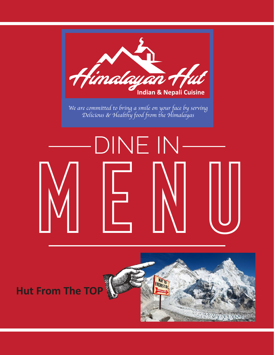

## **Hut From The TOP**

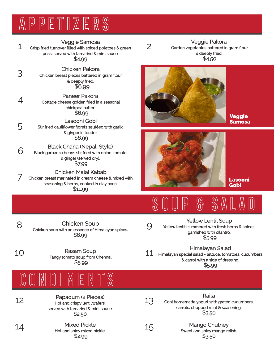# appetizers

1 Veggie Samosa Crisp fried turnover filled with spiced potatoes & green peas, served with tamarind & mint sauce. \$4.99

3 Chicken Pakora Chicken breast pieces battered in gram flour & deeply fried. \$6.99

4 Paneer Pakora Cottage cheese golden fried in a seasonal chickpea batter. \$6.99

Lasooni Gobi Stir fried cauliflower florets sautéed with garlic & ginger in tender. \$6.99

6 Black Chana (Nepali Style) Black garbanzo beans stir fried with onion, tomato & ginger (served dry). \$7.99

7 Chicken Malai Kabab Chicken breast marinated in cream cheese & mixed with seasoning & herbs, cooked in clay oven. \$11.99

2 Veggie Pakora Garden vegetables battered in gram flour & deeply fried. \$4.50



Veggie Samosa



Lasooni Gobi

## SOUP & SALAD

8

5

Chicken Soup Chicken soup with an essence of Himalayan spices. \$6.99

Rasam Soup

\$5.99

Yellow Lentil Soup<br>9 Yellow lentils simmered with fresh herbs & spices, garnished with cilantro. \$5.99

10 Rasam Soup<br>
Tangy tomato soup from Chennai. Himalayan Salad Himalayan special salad - lettuce, tomatoes, cucumbers & carrot with a side of dressing. \$5.99



12 Papadum (2 Pieces) Hot and crispy lentil wafers, served with tamarind & mint sauce. \$2.50

14 Mixed Pickle Hot and spicy mixed pickle. \$2.99

Raita<br>13 Cool homemade yogurt with grated cucumbers, carrots, chopped mint & seasoning. \$3.5o

15 Mango Chutney Sweet and spicy mango relish. \$3.50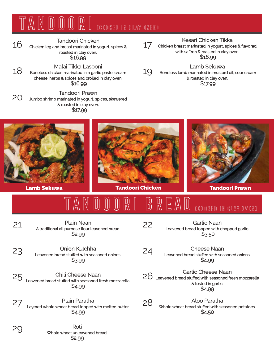### tandoori (cooked in clay oven)

Tandoori Chicken<br>16 Chicken leg and breast marinated in yogurt, spices &

roasted in clay oven. \$16.99

18 Malai Tikka Lasooni Boneless chicken marinated in a garlic paste, cream cheese, herbs & spices and broiled in clay oven. \$16.99

20 Tandoori Prawn Jumbo shrimp marinated in yogurt, spices, skewered & roasted in clay oven. \$17.99

Kesari Chicken Tikka Chicken breast marinated in yogurt, spices & flavored

17 with saffron & roasted in clay oven. \$16.99

19 Lamb Sekuwa Boneless lamb marinated in mustard oil, sour cream & roasted in clay oven. \$17.99







TANDOORI BREAD (cooked in clay oven)

21 Plain Naan A traditional all purpose flour leavened bread. \$2.99

22 Garlic Naan Leavened bread topped with chopped garlic. \$3.50

\$4.99

& tosted in garlic. \$4.99

26 Garlic Cheese Naan Leavened bread stuffed with seasoned fresh mozzarella

24 Cheese Naan Leavened bread stuffed with seasoned onions.

23 Onion Kulchha Leavened bread stuffed with seasoned onions. \$3.99

25 Chili Cheese Naan Leavened bread stuffed with seasoned fresh mozzarella. \$4.99

27 Layered whole wheat bread topped with melted butter. \$4.99

28 Aloo Paratha Whole wheat bread stuffed with seasoned potatoes. \$4.50

29 Roti Whole wheat unleavened bread. \$2.99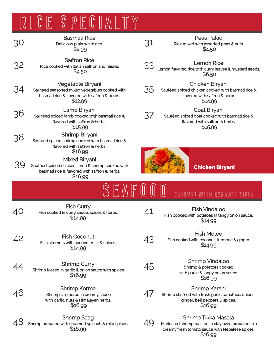# RICE SPECIALTY

| 30 | <b>Basmati Rice</b><br>Delicious plain white rice.<br>\$2.99                                                                   | 31 | Peas Pulao<br>Rice mixed with assorted peas & nuts.<br>\$4.50                                                           |
|----|--------------------------------------------------------------------------------------------------------------------------------|----|-------------------------------------------------------------------------------------------------------------------------|
| 32 | <b>Saffron Rice</b><br>Rice cooked with Italian saffron and raisins.<br>\$4.50                                                 | 33 | <b>Lemon Rice</b><br>Lemon flavored rice with curry leaves & mustard seeds.<br>\$6.50                                   |
| 34 | Vegetable Biryani<br>Sautéed seasoned mixed vegetables cooked with<br>basmati rice & flavored with saffron & herbs.<br>\$12.99 | 35 | <b>Chicken Biryani</b><br>Sautéed spiced chicken cooked with basmati rice &<br>flavored with saffron & herbs<br>\$14.99 |
| 36 | Lamb Biryani<br>Sautéed spiced lamb cooked with basmati rice &<br>flavored with saffron & herbs.<br>\$15.99                    | 37 | <b>Goat Biryani</b><br>Sautéed spiced goat cooked with basmati rice &<br>flavored with saffron & herbs.<br>\$15.99      |
| 38 | Shrimp Biryani<br>Sautéed spiced shrimp cooked with basmati rice &<br>flavored with saffron & herbs.<br>\$16.99                |    |                                                                                                                         |
| 39 | Mixed Biryani<br>Sautéed spiced chicken, lamb & shrimp cooked with<br>basmati rice & flavored with saffron & herbs.<br>\$16.99 |    | <b>Chicken Biryani</b>                                                                                                  |
|    |                                                                                                                                |    |                                                                                                                         |
|    |                                                                                                                                |    | <b>(SERVED WITH BASMATI RICE)</b>                                                                                       |
| 40 | <b>Fish Curry</b><br>Fish cooked in curry sauce, spices & herbs.<br>\$14.99                                                    | 41 | <b>Fish Vindaloo</b><br>Fish cooked with potatoes in tangy onion sauce.<br>\$14.99                                      |
| 42 | <b>Fish Coconut</b><br>Fish simmers with coconut milk & spices.<br>\$14.99                                                     | 43 | <b>Fish Molee</b><br>Fish cooked with coconut, turmeric & ginger.<br>\$14.99                                            |
| 44 | <b>Shrimp Curry</b><br>Shrimp tossed in garlic & onion sauce with spices.<br>\$16.99                                           | 45 | <b>Shrimp Vindaloo</b><br>Shrimp & potatoes cooked<br>with garlic & tangy onion sauce.<br>\$16.99                       |
| 46 | Shrimp Korma<br>Shrimp simmered in creamy sauce<br>with garlic, nuts & Himalayan herbs.<br>\$16.99                             | 4/ | Shrimp Karahi<br>Shrimp stir fried with fresh garlic tomatoes, onions,<br>ginger, bell peppers & spices.<br>\$16.99     |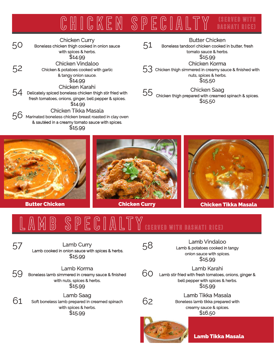#### chicken specialty (served with basmati rice)

50 Chicken Curry Boneless chicken thigh cooked in onion sauce with spices & herbs. \$14.99 52 Chicken Vindaloo Chicken & potatoes cooked with garlic & tangy onion sauce. \$14.99 54 Chicken Karahi Delicately spiced boneless chicken thigh stir fried with fresh tomatoes, onions, ginger, bell pepper & spices. \$14.99 56 Chicken Tikka Masala Marinated boneless chicken breast roasted in clay oven & sautéed in a creamy tomato sauce with spices. \$15.99

51 Butter Chicken Boneless tandoori chicken cooked in butter, fresh tomato sauce & herbs. \$15.99 CHICKEN NOTTIC<br>53 Chicken thigh simmered in creamy sauce & finished with Chicken Korma nuts, spices & herbs. \$15.50 55 Chicken Saag Chicken thigh prepared with creamed spinach & spices. \$15.50







### SPECIALT (served with basmati rice)

57 Lamb Curry Lamb cooked in onion sauce with spices & herbs. \$15.99

59 Lamb Korma Boneless lamb simmered in creamy sauce & finished with nuts, spices & herbs. \$15.99

 $61$  Soft boneless lamb prepared in creamed spinach with spices & herbs. \$15.99

58 Lamb Vindaloo Lamb & potatoes cooked in tangy onion sauce with spices. \$15.99

Lamb Karahi<br>60 Lamb stir fried with fresh tomatoes, onions, ginger & bell pepper with spices & herbs. \$15.99



Lamb Tikka Masala Boneless lamb tikka prepared with creamy sauce & spices. \$16.50



Lamb Tikka Masala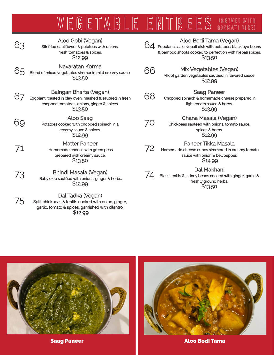### WEGETABLE ENTREES (SERVED WITH basmati rice)

| 63 | Aloo Gobi (Vegan)<br>Stir fried cauliflower & potatoes with onions,<br>fresh tomatoes & spices.<br>\$12.99                                  |    | Aloo Bodi Tama (Vegan)<br>Popular classic Nepali dish with potatoes, black eye beans<br>& bamboo shoots cooked to perfection with Nepali spices.<br>\$13.50 |
|----|---------------------------------------------------------------------------------------------------------------------------------------------|----|-------------------------------------------------------------------------------------------------------------------------------------------------------------|
| 65 | Navaratan Korma<br>Blend of mixed vegetables simmer in mild creamy sauce.<br>\$13.50                                                        | 66 | Mix Vegetables (Vegan)<br>Mix of garden vegetables sautéed in flavored sauce.<br>\$12.99                                                                    |
| 67 | Baingan Bharta (Vegan)<br>Eggplant roasted in clay oven, mashed & sautéed in fresh<br>chopped tomatoes, onions, ginger & spices.<br>\$13.50 | 68 | <b>Saag Paneer</b><br>Chopped spinach & homemade cheese prepared in<br>light cream sauce & herbs.<br>\$13.99                                                |
| 69 | Aloo Saag<br>Potatoes cooked with chopped spinach in a<br>creamy sauce & spices.<br>\$12.99                                                 | 70 | Chana Masala (Vegan)<br>Chickpeas sautéed with onions, tomato sauce,<br>spices & herbs.<br>\$12.99                                                          |
| 71 | <b>Matter Paneer</b><br>Homemade cheese with green peas<br>prepared with creamy sauce.<br>\$13.50                                           | 72 | Paneer Tikka Masala<br>Homemade cheese cubes simmered in creamy tomato<br>sauce with onion & bell pepper.<br>\$14.99                                        |
| 73 | Bhindi Masala (Vegan)<br>Baby okra sautéed with onions, ginger & herbs.<br>\$12.99                                                          |    | Dal Makhani<br>Black lentils & kidney beans cooked with ginger, garlic &<br>freshly ground herbs.<br>\$13.50                                                |

75 Dal Tadka (Vegan) Split chickpeas & lentils cooked with onion, ginger, garlic, tomato & spices, garnished with cilantro. \$12.99





Saag Paneer Aloo Bodi Tama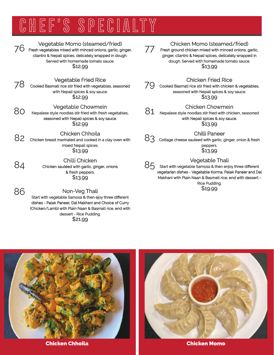## CHEF'S SPECIALTY



80

84

86

### Vegetable Momo (steamed/fried)

The result with minimulative original vegetables mixed with minced onions, garlic, ginger, cilantro & Nepali spices, delicately wrapped in dough. Served with homemade tomato sauce. \$12.99

Vegetable Fried Rice

**78** Cooked Basmati rice stir fried RICE<br>The cooked Basmati rice stir fried with vegetables, seasoned with Nepali spices & soy sauce. \$12.99

Vegetable Chowmein

Nepalese style noodles stir fried with fresh vegetables, seasoned with Nepali spices & soy sauce. \$12.99

#### Chicken Chhoila

82 Chicken breast marinated and cooked in a clay oven with mixed Nepali spices. \$13.99

> Chilli Chicken Chicken sautéed with garlic, ginger, onions & fresh peppers. \$13.99

Non-Veg Thali Start with vegetable Samosa & then ejoy three different dishes - Palak Paneer, Dal Makhani and Choice of Curry (Chicken/Lamb) with Plain Naan & Basmati rice, end with dessert - Rice Pudding. \$21.99

77

### Chicken Momo (steamed/fried)

Fresh ground chicken mixed with minced onions, garlic, ginger, cilantro & Nepali spices, delicately wrapped in dough. Served with homemade tomato sauce. \$13.99

Chicken Fried Rice

CHICKEN FITED RICE<br>79 Cooked Basmati rice stir fried with chicken & vegetables, seasoned with Nepali spices & soy sauce. \$13.99

### Chicken Chowmein

81 Nepalese style noodles stir fried with chicken, seasoned with Nepali spices & soy sauce. \$13.99

### Chilli Paneer

83 Cottage cheese sauteed with garlic, ginger, onion & fresh peppers. \$13.99

### Vegetable Thali

**85** Start with vegetable Samosa & then enjoy three different vegetarian dishes - Vegetable Korma, Palak Paneer and Dal Makhani with Plain Naan & Basmati rice, end with dessert - Rice Pudding.

\$19.99



Chicken Chhoila Chicken Momo

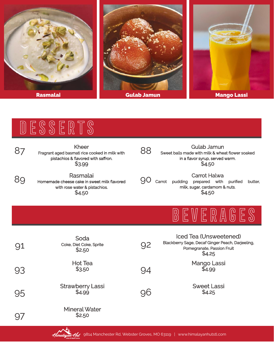

# DESSERTS

| 87 | Kheer<br>Fragrant aged basmati rice cooked in milk with<br>pistachios & flavored with saffron.<br>\$3.99 | 88        | <b>Gulab Jamun</b><br>Sweet balls made with milk & wheat flower soaked<br>in a flavor syrup, served warm.<br>\$4.50  |
|----|----------------------------------------------------------------------------------------------------------|-----------|----------------------------------------------------------------------------------------------------------------------|
| 80 | Rasmalai<br>Homemade cheese cake in sweet milk flavored<br>with rose water & pistachios.<br>\$4.50       | <u>YU</u> | Carrot Halwa<br>Carrot<br>pudding<br>prepared with<br>purified<br>butter,<br>milk, sugar, cardamom & nuts.<br>\$4.50 |
|    |                                                                                                          |           | 12 W E R A                                                                                                           |
| 91 | Soda<br>Coke, Diet Coke, Sprite                                                                          | 92        | Iced Tea (Unsweetened)<br>Blackberry Sage, Decaf Ginger Peach, Darjeeling,                                           |
|    | \$2.50                                                                                                   |           | Pomegranate, Passion Fruit<br>\$4.25                                                                                 |
| 93 | <b>Hot Tea</b><br>\$3.50                                                                                 | 94        | Mango Lassi<br>\$4.99                                                                                                |
| 95 | <b>Strawberry Lassi</b><br>\$4.99                                                                        | 96        | <b>Sweet Lassi</b><br>\$4.25                                                                                         |

Mineral Water \$2.50



97